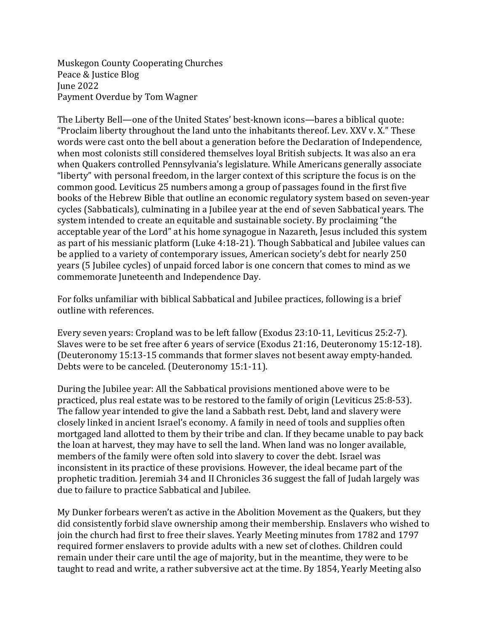Muskegon County Cooperating Churches Peace & Justice Blog June 2022 Payment Overdue by Tom Wagner

The Liberty Bell—one of the United States' best-known icons—bares a biblical quote: "Proclaim liberty throughout the land unto the inhabitants thereof. Lev. XXV v. X." These words were cast onto the bell about a generation before the Declaration of Independence, when most colonists still considered themselves loyal British subjects. It was also an era when Quakers controlled Pennsylvania's legislature. While Americans generally associate "liberty" with personal freedom, in the larger context of this scripture the focus is on the common good. Leviticus 25 numbers among a group of passages found in the first five books of the Hebrew Bible that outline an economic regulatory system based on seven-year cycles (Sabbaticals), culminating in a Jubilee year at the end of seven Sabbatical years. The system intended to create an equitable and sustainable society. By proclaiming "the acceptable year of the Lord" at his home synagogue in Nazareth, Jesus included this system as part of his messianic platform (Luke 4:18-21). Though Sabbatical and Jubilee values can be applied to a variety of contemporary issues, American society's debt for nearly 250 years (5 Jubilee cycles) of unpaid forced labor is one concern that comes to mind as we commemorate Juneteenth and Independence Day.

For folks unfamiliar with biblical Sabbatical and Jubilee practices, following is a brief outline with references.

Every seven years: Cropland was to be left fallow (Exodus 23:10-11, Leviticus 25:2-7). Slaves were to be set free after 6 years of service (Exodus 21:16, Deuteronomy 15:12-18). (Deuteronomy 15:13-15 commands that former slaves not besent away empty-handed. Debts were to be canceled. (Deuteronomy 15:1-11).

During the Jubilee year: All the Sabbatical provisions mentioned above were to be practiced, plus real estate was to be restored to the family of origin (Leviticus 25:8-53). The fallow year intended to give the land a Sabbath rest. Debt, land and slavery were closely linked in ancient Israel's economy. A family in need of tools and supplies often mortgaged land allotted to them by their tribe and clan. If they became unable to pay back the loan at harvest, they may have to sell the land. When land was no longer available, members of the family were often sold into slavery to cover the debt. Israel was inconsistent in its practice of these provisions. However, the ideal became part of the prophetic tradition. Jeremiah 34 and II Chronicles 36 suggest the fall of Judah largely was due to failure to practice Sabbatical and Jubilee.

My Dunker forbears weren't as active in the Abolition Movement as the Quakers, but they did consistently forbid slave ownership among their membership. Enslavers who wished to join the church had first to free their slaves. Yearly Meeting minutes from 1782 and 1797 required former enslavers to provide adults with a new set of clothes. Children could remain under their care until the age of majority, but in the meantime, they were to be taught to read and write, a rather subversive act at the time. By 1854, Yearly Meeting also